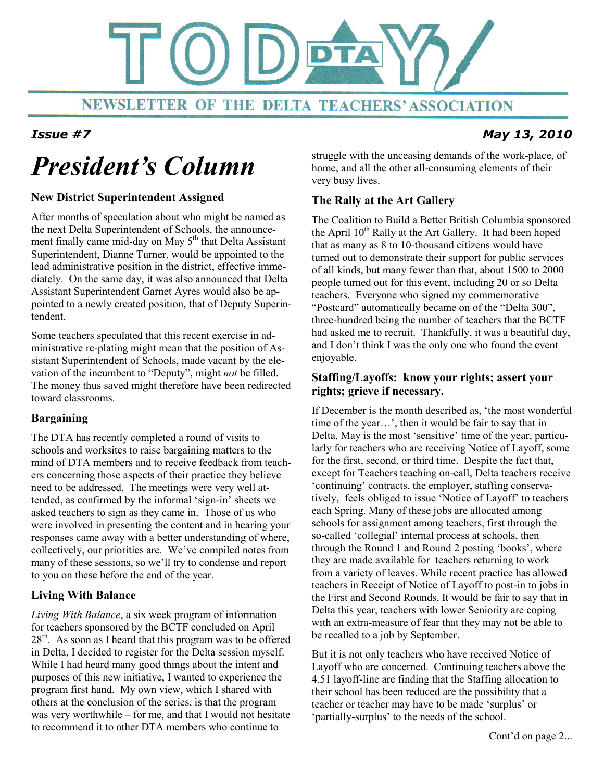

## Issue #7 May 13, 2010

# President's Column

#### New District Superintendent Assigned

After months of speculation about who might be named as the next Delta Superintendent of Schools, the announcement finally came mid-day on May 5<sup>th</sup> that Delta Assistant Superintendent, Dianne Turner, would be appointed to the lead administrative position in the district, effective immediately. On the same day, it was also announced that Delta Assistant Superintendent Garnet Ayres would also be appointed to a newly created position, that of Deputy Superintendent.

Some teachers speculated that this recent exercise in administrative re-plating might mean that the position of Assistant Superintendent of Schools, made vacant by the elevation of the incumbent to "Deputy", might not be filled. The money thus saved might therefore have been redirected toward classrooms.

#### Bargaining Ī

The DTA has recently completed a round of visits to schools and worksites to raise bargaining matters to the mind of DTA members and to receive feedback from teachers concerning those aspects of their practice they believe need to be addressed. The meetings were very well attended, as confirmed by the informal 'sign-in' sheets we asked teachers to sign as they came in. Those of us who were involved in presenting the content and in hearing your responses came away with a better understanding of where, collectively, our priorities are. We've compiled notes from many of these sessions, so we'll try to condense and report to you on these before the end of the year.

### Living With Balance

Living With Balance, a six week program of information for teachers sponsored by the BCTF concluded on April  $28<sup>th</sup>$ . As soon as I heard that this program was to be offered in Delta, I decided to register for the Delta session myself. While I had heard many good things about the intent and purposes of this new initiative, I wanted to experience the program first hand. My own view, which I shared with others at the conclusion of the series, is that the program was very worthwhile – for me, and that I would not hesitate to recommend it to other DTA members who continue to

struggle with the unceasing demands of the work-place, of home, and all the other all-consuming elements of their very busy lives.

### The Rally at the Art Gallery

The Coalition to Build a Better British Columbia sponsored the April 10<sup>th</sup> Rally at the Art Gallery. It had been hoped that as many as 8 to 10-thousand citizens would have turned out to demonstrate their support for public services of all kinds, but many fewer than that, about 1500 to 2000 people turned out for this event, including 20 or so Delta teachers. Everyone who signed my commemorative "Postcard" automatically became on of the "Delta 300", three-hundred being the number of teachers that the BCTF had asked me to recruit. Thankfully, it was a beautiful day, and I don't think I was the only one who found the event enjoyable.

#### Staffing/Layoffs: know your rights; assert your rights; grieve if necessary.

If December is the month described as, 'the most wonderful time of the year…', then it would be fair to say that in Delta, May is the most 'sensitive' time of the year, particularly for teachers who are receiving Notice of Layoff, some for the first, second, or third time. Despite the fact that, except for Teachers teaching on-call, Delta teachers receive 'continuing' contracts, the employer, staffing conservatively, feels obliged to issue 'Notice of Layoff' to teachers each Spring. Many of these jobs are allocated among schools for assignment among teachers, first through the so-called 'collegial' internal process at schools, then through the Round 1 and Round 2 posting 'books', where they are made available for teachers returning to work from a variety of leaves. While recent practice has allowed teachers in Receipt of Notice of Layoff to post-in to jobs in the First and Second Rounds, It would be fair to say that in Delta this year, teachers with lower Seniority are coping with an extra-measure of fear that they may not be able to be recalled to a job by September.

But it is not only teachers who have received Notice of Layoff who are concerned. Continuing teachers above the 4.51 layoff-line are finding that the Staffing allocation to their school has been reduced are the possibility that a teacher or teacher may have to be made 'surplus' or 'partially-surplus' to the needs of the school.